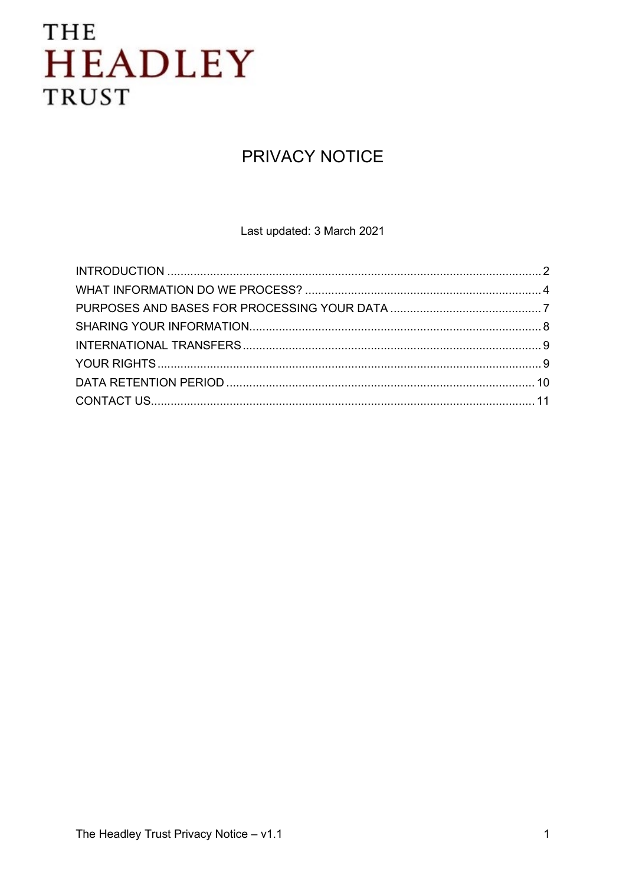## **PRIVACY NOTICE**

Last updated: 3 March 2021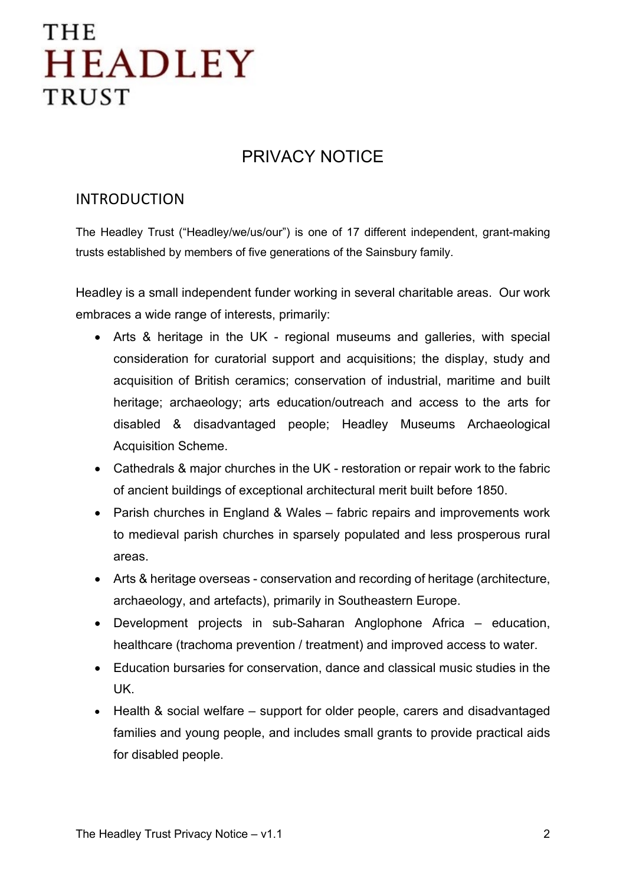### PRIVACY NOTICE

### <span id="page-1-0"></span>INTRODUCTION

The Headley Trust ("Headley/we/us/our") is one of 17 different independent, grant-making trusts established by members of five generations of the Sainsbury family.

Headley is a small independent funder working in several charitable areas. Our work embraces a wide range of interests, primarily:

- Arts & heritage in the UK regional museums and galleries, with special consideration for curatorial support and acquisitions; the display, study and acquisition of British ceramics; conservation of industrial, maritime and built heritage; archaeology; arts education/outreach and access to the arts for disabled & disadvantaged people; Headley Museums Archaeological Acquisition Scheme.
- Cathedrals & major churches in the UK restoration or repair work to the fabric of ancient buildings of exceptional architectural merit built before 1850.
- Parish churches in England & Wales fabric repairs and improvements work to medieval parish churches in sparsely populated and less prosperous rural areas.
- Arts & heritage overseas conservation and recording of heritage (architecture, archaeology, and artefacts), primarily in Southeastern Europe.
- Development projects in sub-Saharan Anglophone Africa education, healthcare (trachoma prevention / treatment) and improved access to water.
- Education bursaries for conservation, dance and classical music studies in the UK.
- Health & social welfare support for older people, carers and disadvantaged families and young people, and includes small grants to provide practical aids for disabled people.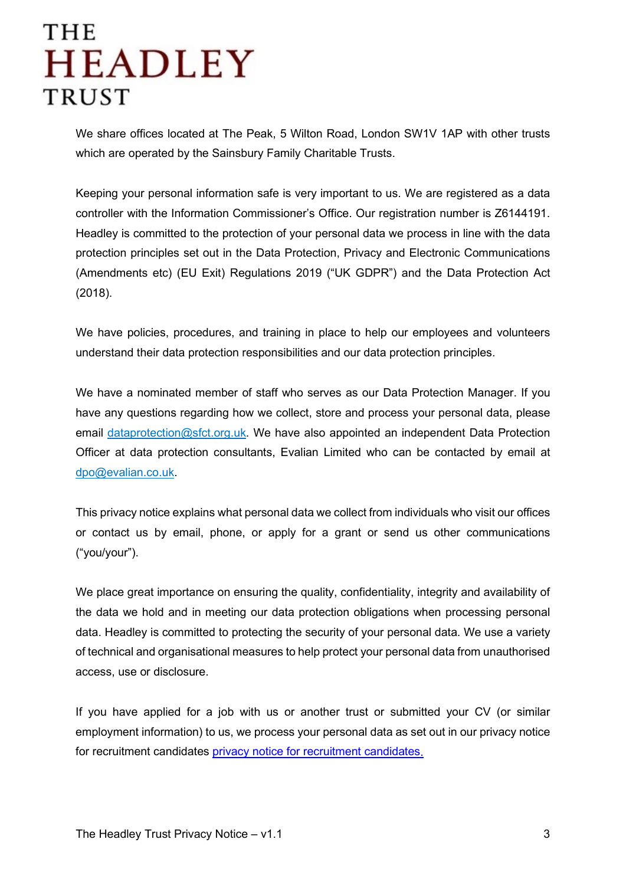We share offices located at The Peak, 5 Wilton Road, London SW1V 1AP with other trusts which are operated by the Sainsbury Family Charitable Trusts.

Keeping your personal information safe is very important to us. We are registered as a data controller with the Information Commissioner's Office. Our registration number is Z6144191. Headley is committed to the protection of your personal data we process in line with the data protection principles set out in the Data Protection, Privacy and Electronic Communications (Amendments etc) (EU Exit) Regulations 2019 ("UK GDPR") and the Data Protection Act (2018).

We have policies, procedures, and training in place to help our employees and volunteers understand their data protection responsibilities and our data protection principles.

We have a nominated member of staff who serves as our Data Protection Manager. If you have any questions regarding how we collect, store and process your personal data, please email [dataprotection@sfct.org.uk.](mailto:dataprotection@sfct.org.uk) We have also appointed an independent Data Protection Officer at data protection consultants, Evalian Limited who can be contacted by email at [dpo@evalian.co.uk.](mailto:dpo@evalian.co.uk)

This privacy notice explains what personal data we collect from individuals who visit our offices or contact us by email, phone, or apply for a grant or send us other communications ("you/your").

We place great importance on ensuring the quality, confidentiality, integrity and availability of the data we hold and in meeting our data protection obligations when processing personal data. Headley is committed to protecting the security of your personal data. We use a variety of technical and organisational measures to help protect your personal data from unauthorised access, use or disclosure.

If you have applied for a job with us or another trust or submitted your CV (or similar employment information) to us, we process your personal data as set out in our privacy notice for recruitment candidates [privacy notice for recruitment candidates.](https://www.sfct.org.uk/files/SFCT%20Job%20Applicant%20Privacy%20Notice%20-%20v1.1%20-%202021.02.16.pdf)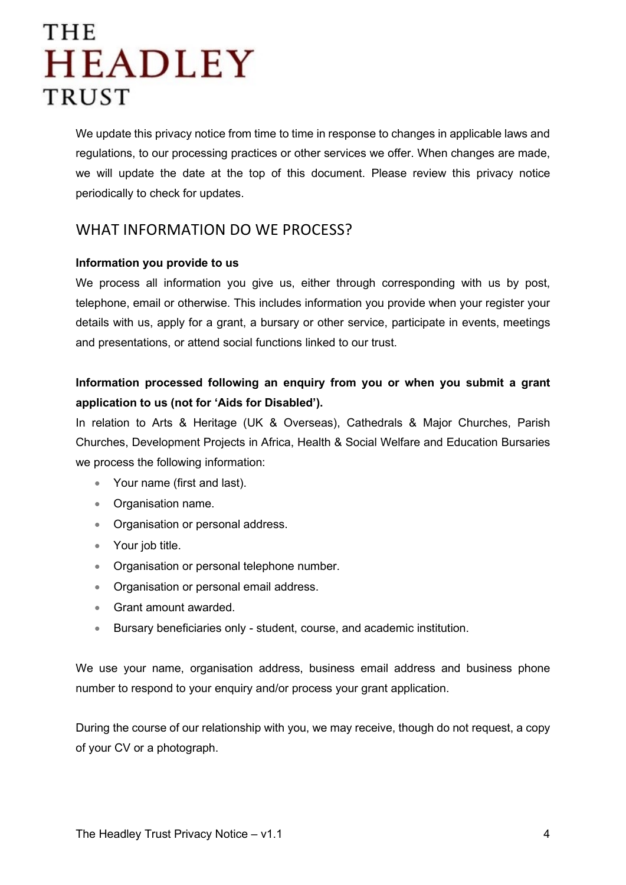We update this privacy notice from time to time in response to changes in applicable laws and regulations, to our processing practices or other services we offer. When changes are made, we will update the date at the top of this document. Please review this privacy notice periodically to check for updates.

### <span id="page-3-0"></span>WHAT INFORMATION DO WE PROCESS?

#### **Information you provide to us**

We process all information you give us, either through corresponding with us by post, telephone, email or otherwise. This includes information you provide when your register your details with us, apply for a grant, a bursary or other service, participate in events, meetings and presentations, or attend social functions linked to our trust.

### **Information processed following an enquiry from you or when you submit a grant application to us (not for 'Aids for Disabled').**

In relation to Arts & Heritage (UK & Overseas), Cathedrals & Major Churches, Parish Churches, Development Projects in Africa, Health & Social Welfare and Education Bursaries we process the following information:

- Your name (first and last).
- Organisation name.
- Organisation or personal address.
- Your job title.
- Organisation or personal telephone number.
- Organisation or personal email address.
- Grant amount awarded.
- Bursary beneficiaries only student, course, and academic institution.

We use your name, organisation address, business email address and business phone number to respond to your enquiry and/or process your grant application.

During the course of our relationship with you, we may receive, though do not request, a copy of your CV or a photograph.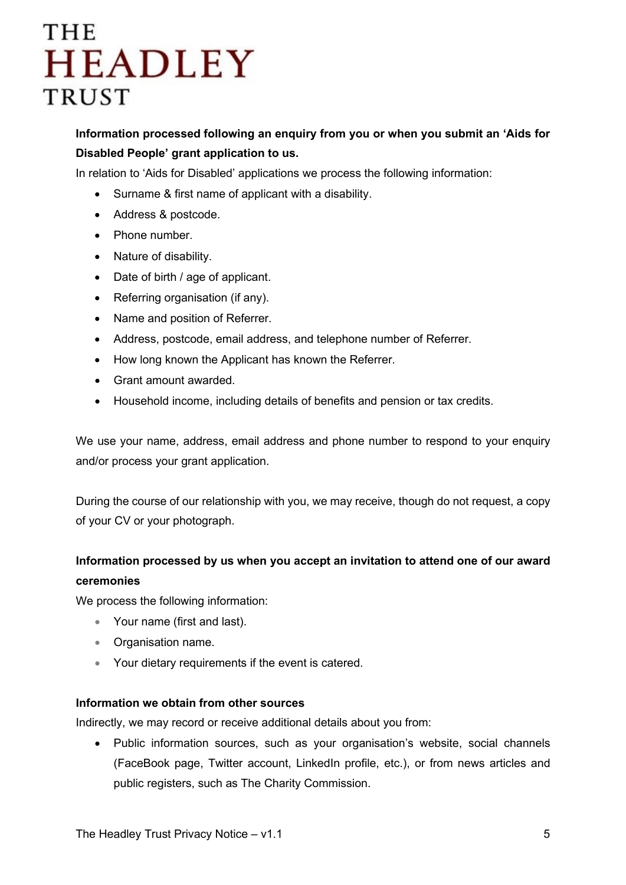**Information processed following an enquiry from you or when you submit an 'Aids for Disabled People' grant application to us.**

In relation to 'Aids for Disabled' applications we process the following information:

- Surname & first name of applicant with a disability.
- Address & postcode.
- Phone number.
- Nature of disability.
- Date of birth / age of applicant.
- Referring organisation (if any).
- Name and position of Referrer.
- Address, postcode, email address, and telephone number of Referrer.
- How long known the Applicant has known the Referrer.
- Grant amount awarded.
- Household income, including details of benefits and pension or tax credits.

We use your name, address, email address and phone number to respond to your enquiry and/or process your grant application.

During the course of our relationship with you, we may receive, though do not request, a copy of your CV or your photograph.

### **Information processed by us when you accept an invitation to attend one of our award ceremonies**

We process the following information:

- Your name (first and last).
- Organisation name.
- Your dietary requirements if the event is catered.

#### **Information we obtain from other sources**

Indirectly, we may record or receive additional details about you from:

• Public information sources, such as your organisation's website, social channels (FaceBook page, Twitter account, LinkedIn profile, etc.), or from news articles and public registers, such as The Charity Commission.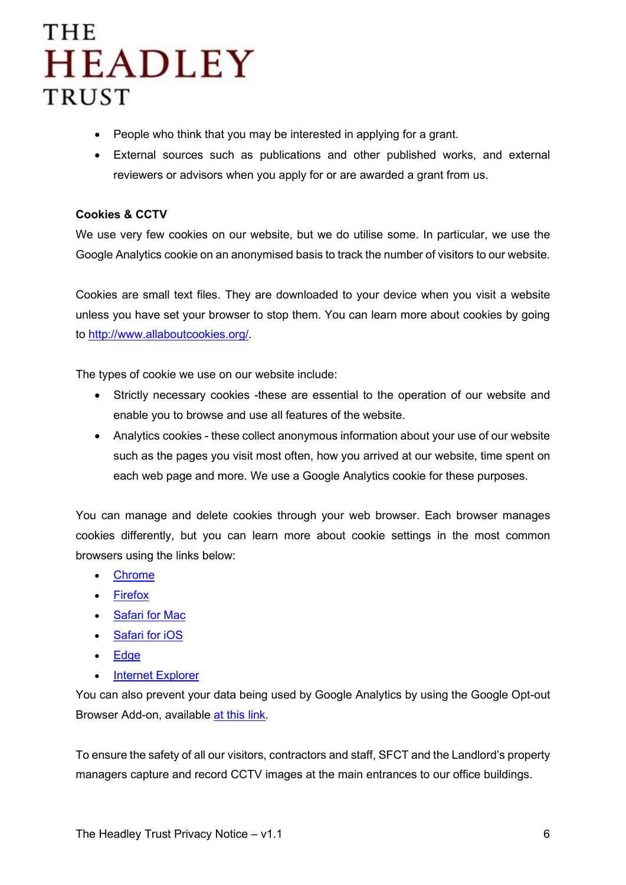- People who think that you may be interested in applying for a grant.
- External sources such as publications and other published works, and external reviewers or advisors when you apply for or are awarded a grant from us.

#### **Cookies & CCTV**

We use very few cookies on our website, but we do utilise some. In particular, we use the Google Analytics cookie on an anonymised basis to track the number of visitors to our website.

Cookies are small text files. They are downloaded to your device when you visit a website unless you have set your browser to stop them. You can learn more about cookies by going to [http://www.allaboutcookies.org/.](http://www.allaboutcookies.org/)

The types of cookie we use on our website include:

- Strictly necessary cookies -these are essential to the operation of our website and enable you to browse and use all features of the website.
- Analytics cookies these collect anonymous information about your use of our website such as the pages you visit most often, how you arrived at our website, time spent on each web page and more. We use a Google Analytics cookie for these purposes.

You can manage and delete cookies through your web browser. Each browser manages cookies differently, but you can learn more about cookie settings in the most common browsers using the links below:

- [Chrome](https://support.google.com/chrome/answer/95647?hl=en)
- [Firefox](https://support.mozilla.org/en-US/kb/cookies-information-websites-store-on-your-computer?redirectlocale=en-US&redirectslug=Cookies)
- [Safari for Mac](https://support.apple.com/en-gb/guide/safari/manage-cookies-and-website-data-sfri11471/mac)
- [Safari for iOS](https://support.apple.com/en-us/HT201265)
- [Edge](https://privacy.microsoft.com/en-us/windows-10-microsoft-edge-and-privacy)
- [Internet Explorer](https://support.microsoft.com/en-gb/help/17442/windows-internet-explorer-delete-manage-cookies)

You can also prevent your data being used by Google Analytics by using the Google Opt-out Browser Add-on, available [at this link.](https://tools.google.com/dlpage/gaoptout)

To ensure the safety of all our visitors, contractors and staff, SFCT and the Landlord's property managers capture and record CCTV images at the main entrances to our office buildings.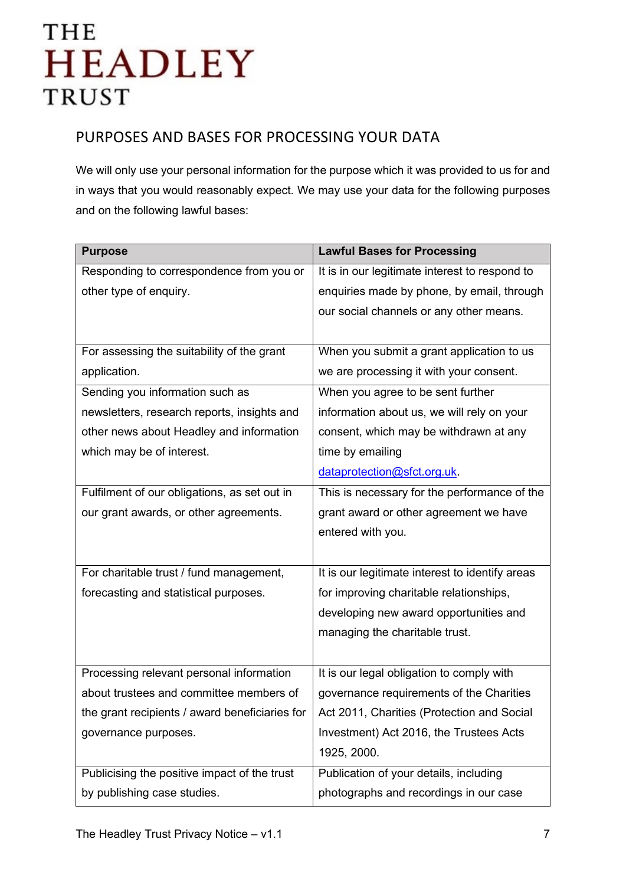### <span id="page-6-0"></span>PURPOSES AND BASES FOR PROCESSING YOUR DATA

We will only use your personal information for the purpose which it was provided to us for and in ways that you would reasonably expect. We may use your data for the following purposes and on the following lawful bases:

| <b>Purpose</b>                                 | <b>Lawful Bases for Processing</b>              |
|------------------------------------------------|-------------------------------------------------|
| Responding to correspondence from you or       | It is in our legitimate interest to respond to  |
| other type of enquiry.                         | enquiries made by phone, by email, through      |
|                                                | our social channels or any other means.         |
|                                                |                                                 |
| For assessing the suitability of the grant     | When you submit a grant application to us       |
| application.                                   | we are processing it with your consent.         |
| Sending you information such as                | When you agree to be sent further               |
| newsletters, research reports, insights and    | information about us, we will rely on your      |
| other news about Headley and information       | consent, which may be withdrawn at any          |
| which may be of interest.                      | time by emailing                                |
|                                                | dataprotection@sfct.org.uk.                     |
| Fulfilment of our obligations, as set out in   | This is necessary for the performance of the    |
| our grant awards, or other agreements.         | grant award or other agreement we have          |
|                                                | entered with you.                               |
|                                                |                                                 |
| For charitable trust / fund management,        | It is our legitimate interest to identify areas |
| forecasting and statistical purposes.          | for improving charitable relationships,         |
|                                                | developing new award opportunities and          |
|                                                | managing the charitable trust.                  |
|                                                |                                                 |
| Processing relevant personal information       | It is our legal obligation to comply with       |
| about trustees and committee members of        | governance requirements of the Charities        |
| the grant recipients / award beneficiaries for | Act 2011, Charities (Protection and Social      |
| governance purposes.                           | Investment) Act 2016, the Trustees Acts         |
|                                                | 1925, 2000.                                     |
| Publicising the positive impact of the trust   | Publication of your details, including          |
| by publishing case studies.                    | photographs and recordings in our case          |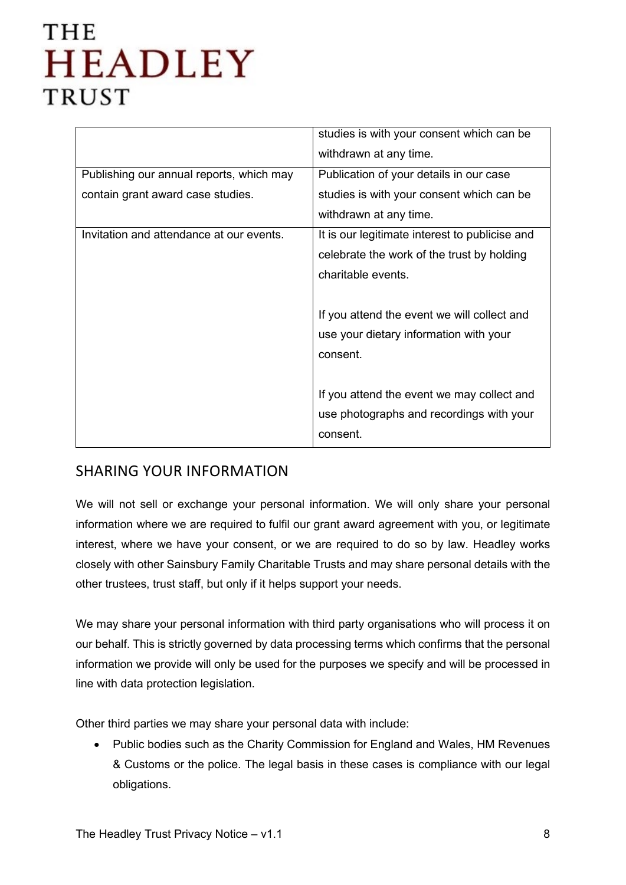|                                          | studies is with your consent which can be      |
|------------------------------------------|------------------------------------------------|
|                                          | withdrawn at any time.                         |
| Publishing our annual reports, which may | Publication of your details in our case        |
| contain grant award case studies.        | studies is with your consent which can be      |
|                                          | withdrawn at any time.                         |
| Invitation and attendance at our events. | It is our legitimate interest to publicise and |
|                                          | celebrate the work of the trust by holding     |
|                                          | charitable events.                             |
|                                          |                                                |
|                                          | If you attend the event we will collect and    |
|                                          | use your dietary information with your         |
|                                          | consent.                                       |
|                                          |                                                |
|                                          | If you attend the event we may collect and     |
|                                          | use photographs and recordings with your       |
|                                          | consent.                                       |
|                                          |                                                |

### <span id="page-7-0"></span>SHARING YOUR INFORMATION

We will not sell or exchange your personal information. We will only share your personal information where we are required to fulfil our grant award agreement with you, or legitimate interest, where we have your consent, or we are required to do so by law. Headley works closely with other Sainsbury Family Charitable Trusts and may share personal details with the other trustees, trust staff, but only if it helps support your needs.

We may share your personal information with third party organisations who will process it on our behalf. This is strictly governed by data processing terms which confirms that the personal information we provide will only be used for the purposes we specify and will be processed in line with data protection legislation.

Other third parties we may share your personal data with include:

• Public bodies such as the Charity Commission for England and Wales, HM Revenues & Customs or the police. The legal basis in these cases is compliance with our legal obligations.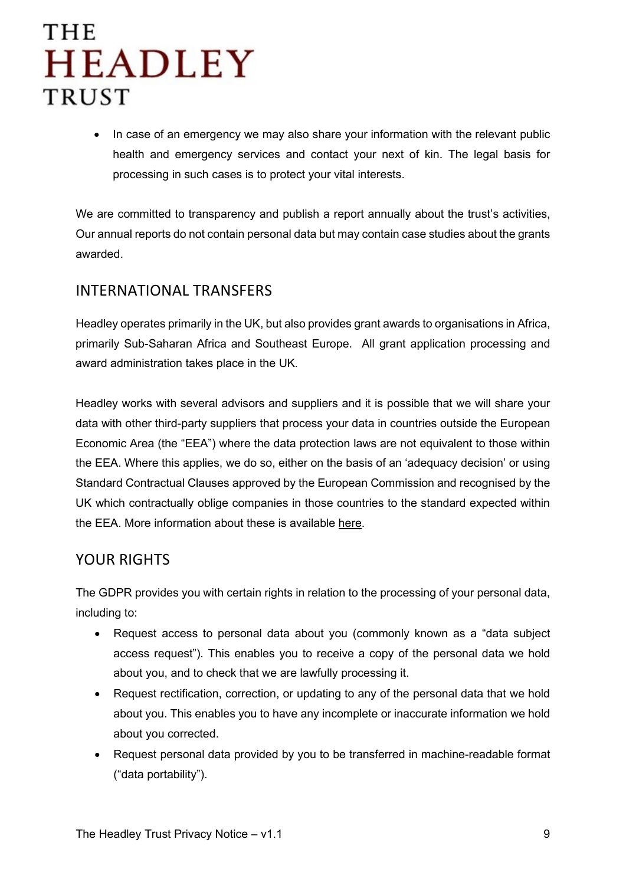• In case of an emergency we may also share your information with the relevant public health and emergency services and contact your next of kin. The legal basis for processing in such cases is to protect your vital interests.

We are committed to transparency and publish a report annually about the trust's activities, Our annual reports do not contain personal data but may contain case studies about the grants awarded.

### <span id="page-8-0"></span>INTERNATIONAL TRANSFERS

Headley operates primarily in the UK, but also provides grant awards to organisations in Africa, primarily Sub-Saharan Africa and Southeast Europe. All grant application processing and award administration takes place in the UK.

Headley works with several advisors and suppliers and it is possible that we will share your data with other third-party suppliers that process your data in countries outside the European Economic Area (the "EEA") where the data protection laws are not equivalent to those within the EEA. Where this applies, we do so, either on the basis of an 'adequacy decision' or using Standard Contractual Clauses approved by the European Commission and recognised by the UK which contractually oblige companies in those countries to the standard expected within the EEA. More information about these is available [here.](http://eur-lex.europa.eu/legal-content/en/TXT/?uri=CELEX:32010D0087)

### <span id="page-8-1"></span>YOUR RIGHTS

The GDPR provides you with certain rights in relation to the processing of your personal data, including to:

- Request access to personal data about you (commonly known as a "data subject access request"). This enables you to receive a copy of the personal data we hold about you, and to check that we are lawfully processing it.
- Request rectification, correction, or updating to any of the personal data that we hold about you. This enables you to have any incomplete or inaccurate information we hold about you corrected.
- Request personal data provided by you to be transferred in machine-readable format ("data portability").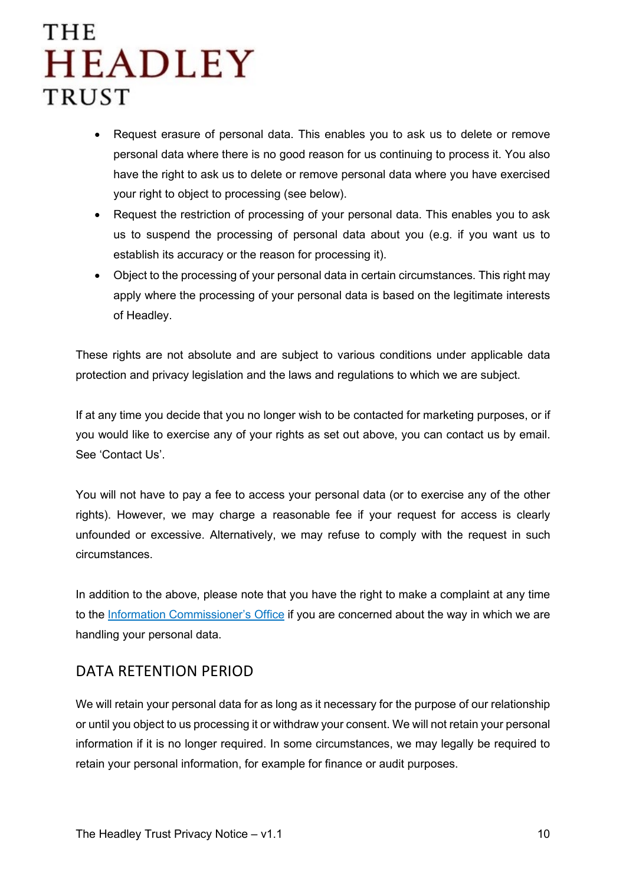- Request erasure of personal data. This enables you to ask us to delete or remove personal data where there is no good reason for us continuing to process it. You also have the right to ask us to delete or remove personal data where you have exercised your right to object to processing (see below).
- Request the restriction of processing of your personal data. This enables you to ask us to suspend the processing of personal data about you (e.g. if you want us to establish its accuracy or the reason for processing it).
- Object to the processing of your personal data in certain circumstances. This right may apply where the processing of your personal data is based on the legitimate interests of Headley.

These rights are not absolute and are subject to various conditions under applicable data protection and privacy legislation and the laws and regulations to which we are subject.

If at any time you decide that you no longer wish to be contacted for marketing purposes, or if you would like to exercise any of your rights as set out above, you can contact us by email. See 'Contact Us'.

You will not have to pay a fee to access your personal data (or to exercise any of the other rights). However, we may charge a reasonable fee if your request for access is clearly unfounded or excessive. Alternatively, we may refuse to comply with the request in such circumstances.

In addition to the above, please note that you have the right to make a complaint at any time to the [Information Commissioner's Office](https://ico.org.uk/make-a-complaint/) if you are concerned about the way in which we are handling your personal data.

### <span id="page-9-0"></span>DATA RETENTION PERIOD

We will retain your personal data for as long as it necessary for the purpose of our relationship or until you object to us processing it or withdraw your consent. We will not retain your personal information if it is no longer required. In some circumstances, we may legally be required to retain your personal information, for example for finance or audit purposes.